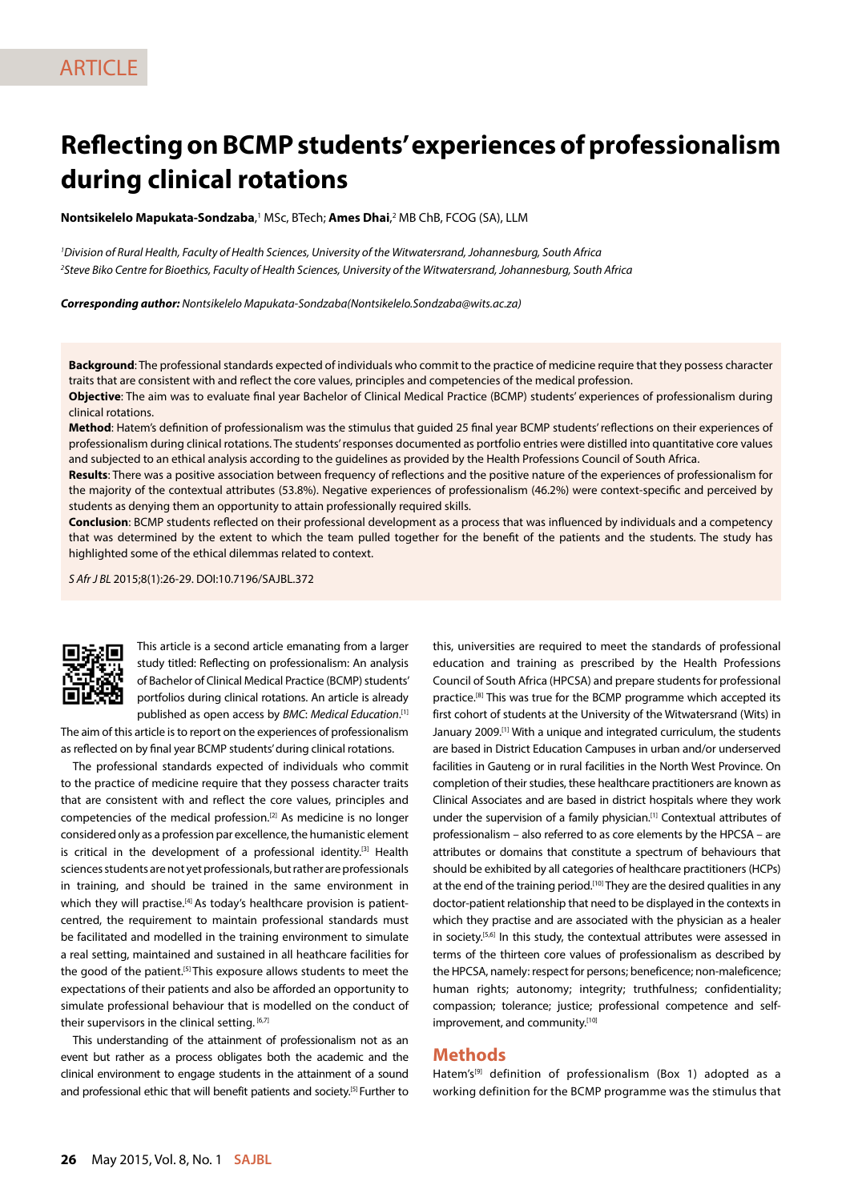# **Reflecting on BCMP students' experiences of professionalism during clinical rotations**

**Nontsikelelo Mapukata-Sondzaba**,<sup>1</sup> MSc, BTech; **Ames Dhai**,<sup>2</sup> MB ChB, FCOG (SA), LLM

*1 Division of Rural Health, Faculty of Health Sciences, University of the Witwatersrand, Johannesburg, South Africa 2 Steve Biko Centre for Bioethics, Faculty of Health Sciences, University of the Witwatersrand, Johannesburg, South Africa*

*Corresponding author: Nontsikelelo Mapukata-Sondzaba(Nontsikelelo.Sondzaba@wits.ac.za)*

**Background**: The professional standards expected of individuals who commit to the practice of medicine require that they possess character traits that are consistent with and reflect the core values, principles and competencies of the medical profession.

**Objective**: The aim was to evaluate final year Bachelor of Clinical Medical Practice (BCMP) students' experiences of professionalism during clinical rotations.

**Method**: Hatem's definition of professionalism was the stimulus that guided 25 final year BCMP students' reflections on their experiences of professionalism during clinical rotations. The students' responses documented as portfolio entries were distilled into quantitative core values and subjected to an ethical analysis according to the guidelines as provided by the Health Professions Council of South Africa.

**Results**: There was a positive association between frequency of reflections and the positive nature of the experiences of professionalism for the majority of the contextual attributes (53.8%). Negative experiences of professionalism (46.2%) were context-specific and perceived by students as denying them an opportunity to attain professionally required skills.

**Conclusion**: BCMP students reflected on their professional development as a process that was influenced by individuals and a competency that was determined by the extent to which the team pulled together for the benefit of the patients and the students. The study has highlighted some of the ethical dilemmas related to context.

*S Afr J BL* 2015;8(1):26-29. DOI:10.7196/SAJBL.372



This article is a second article emanating from a larger study titled: Reflecting on professionalism: An analysis of Bachelor of Clinical Medical Practice (BCMP) students' portfolios during clinical rotations. An article is already published as open access by *BMC*: *Medical Education*. [1]

The aim of this article is to report on the experiences of professionalism as reflected on by final year BCMP students' during clinical rotations.

The professional standards expected of individuals who commit to the practice of medicine require that they possess character traits that are consistent with and reflect the core values, principles and competencies of the medical profession.[2] As medicine is no longer considered only as a profession par excellence, the humanistic element is critical in the development of a professional identity.<sup>[3]</sup> Health sciences students are not yet professionals, but rather are professionals in training, and should be trained in the same environment in which they will practise.<sup>[4]</sup> As today's healthcare provision is patientcentred, the requirement to maintain professional standards must be facilitated and modelled in the training environment to simulate a real setting, maintained and sustained in all heathcare facilities for the good of the patient.[5] This exposure allows students to meet the expectations of their patients and also be afforded an opportunity to simulate professional behaviour that is modelled on the conduct of their supervisors in the clinical setting. [6,7]

This understanding of the attainment of professionalism not as an event but rather as a process obligates both the academic and the clinical environment to engage students in the attainment of a sound and professional ethic that will benefit patients and society.<sup>[5]</sup> Further to

this, universities are required to meet the standards of professional education and training as prescribed by the Health Professions Council of South Africa (HPCSA) and prepare students for professional practice.<sup>[8]</sup> This was true for the BCMP programme which accepted its first cohort of students at the University of the Witwatersrand (Wits) in January 2009.<sup>[1]</sup> With a unique and integrated curriculum, the students are based in District Education Campuses in urban and/or underserved facilities in Gauteng or in rural facilities in the North West Province. On completion of their studies, these healthcare practitioners are known as Clinical Associates and are based in district hospitals where they work under the supervision of a family physician.[1] Contextual attributes of professionalism – also referred to as core elements by the HPCSA – are attributes or domains that constitute a spectrum of behaviours that should be exhibited by all categories of healthcare practitioners (HCPs) at the end of the training period.<sup>[10]</sup> They are the desired qualities in any doctor-patient relationship that need to be displayed in the contexts in which they practise and are associated with the physician as a healer in society.[5,6] In this study, the contextual attributes were assessed in terms of the thirteen core values of professionalism as described by the HPCSA, namely: respect for persons; beneficence; non-maleficence; human rights; autonomy; integrity; truthfulness; confidentiality; compassion; tolerance; justice; professional competence and selfimprovement, and community.[10]

## **Methods**

Hatem's<sup>[9]</sup> definition of professionalism (Box 1) adopted as a working definition for the BCMP programme was the stimulus that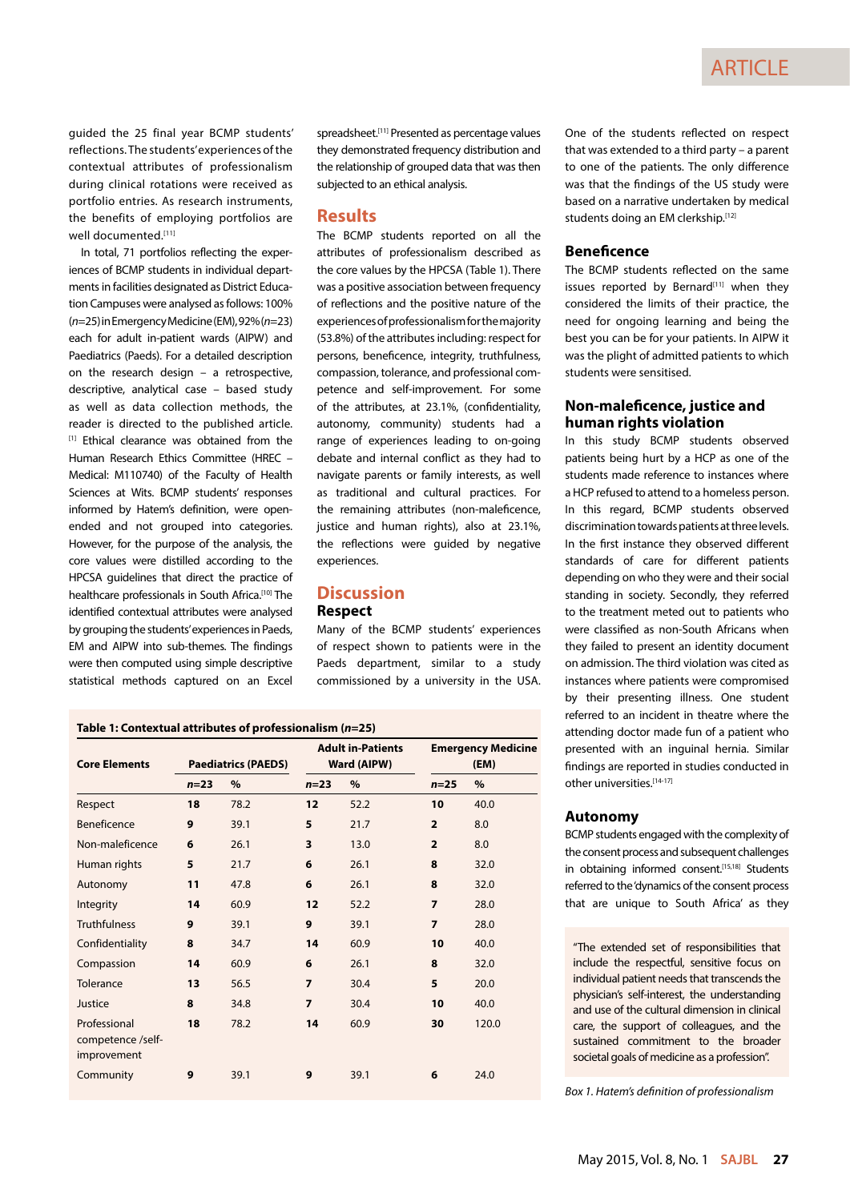guided the 25 final year BCMP students' reflections. The students' experiences of the contextual attributes of professionalism during clinical rotations were received as portfolio entries. As research instruments, the benefits of employing portfolios are well documented.[11]

In total, 71 portfolios reflecting the experiences of BCMP students in individual departments in facilities designated as District Education Campuses were analysed as follows: 100% (*n*=25) in Emergency Medicine (EM), 92% (*n*=23) each for adult in-patient wards (AIPW) and Paediatrics (Paeds). For a detailed description on the research design – a retrospective, descriptive, analytical case – based study as well as data collection methods, the reader is directed to the published article. [1] Ethical clearance was obtained from the Human Research Ethics Committee (HREC – Medical: M110740) of the Faculty of Health Sciences at Wits. BCMP students' responses informed by Hatem's definition, were openended and not grouped into categories. However, for the purpose of the analysis, the core values were distilled according to the HPCSA guidelines that direct the practice of healthcare professionals in South Africa.<sup>[10]</sup> The identified contextual attributes were analysed by grouping the students' experiences in Paeds, EM and AIPW into sub-themes. The findings were then computed using simple descriptive statistical methods captured on an Excel

spreadsheet.[11] Presented as percentage values they demonstrated frequency distribution and the relationship of grouped data that was then subjected to an ethical analysis.

## **Results**

The BCMP students reported on all the attributes of professionalism described as the core values by the HPCSA (Table 1). There was a positive association between frequency of reflections and the positive nature of the experiences of professionalism for the majority (53.8%) of the attributes including: respect for persons, beneficence, integrity, truthfulness, compassion, tolerance, and professional competence and self-improvement. For some of the attributes, at 23.1%, (confidentiality, autonomy, community) students had a range of experiences leading to on-going debate and internal conflict as they had to navigate parents or family interests, as well as traditional and cultural practices. For the remaining attributes (non-maleficence, justice and human rights), also at 23.1%, the reflections were guided by negative experiences.

## **Discussion Respect**

Many of the BCMP students' experiences of respect shown to patients were in the Paeds department, similar to a study commissioned by a university in the USA.

| Table 1: Contextual attributes of professionalism (n=25) |                            |      |                                         |      |                                   |       |
|----------------------------------------------------------|----------------------------|------|-----------------------------------------|------|-----------------------------------|-------|
| <b>Core Elements</b>                                     | <b>Paediatrics (PAEDS)</b> |      | <b>Adult in-Patients</b><br>Ward (AIPW) |      | <b>Emergency Medicine</b><br>(EM) |       |
|                                                          | $n=23$                     | $\%$ | $n=23$                                  | %    | $n=25$                            | %     |
| Respect                                                  | 18                         | 78.2 | 12                                      | 52.2 | 10                                | 40.0  |
| Beneficence                                              | 9                          | 39.1 | 5                                       | 21.7 | $\overline{2}$                    | 8.0   |
| Non-maleficence                                          | 6                          | 26.1 | 3                                       | 13.0 | $\overline{2}$                    | 8.0   |
| Human rights                                             | 5                          | 21.7 | 6                                       | 26.1 | 8                                 | 32.0  |
| Autonomy                                                 | 11                         | 47.8 | 6                                       | 26.1 | 8                                 | 32.0  |
| Integrity                                                | 14                         | 60.9 | 12                                      | 52.2 | $\overline{ }$                    | 28.0  |
| <b>Truthfulness</b>                                      | 9                          | 39.1 | 9                                       | 39.1 | $\overline{ }$                    | 28.0  |
| Confidentiality                                          | 8                          | 34.7 | 14                                      | 60.9 | 10                                | 40.0  |
| Compassion                                               | 14                         | 60.9 | 6                                       | 26.1 | 8                                 | 32.0  |
| Tolerance                                                | 13                         | 56.5 | 7                                       | 30.4 | 5                                 | 20.0  |
| Justice                                                  | 8                          | 34.8 | 7                                       | 30.4 | 10                                | 40.0  |
| Professional<br>competence /self-<br>improvement         | 18                         | 78.2 | 14                                      | 60.9 | 30                                | 120.0 |
| Community                                                | 9                          | 39.1 | 9                                       | 39.1 | 6                                 | 24.0  |

One of the students reflected on respect that was extended to a third party – a parent to one of the patients. The only difference was that the findings of the US study were based on a narrative undertaken by medical students doing an EM clerkship.[12]

#### **Beneficence**

The BCMP students reflected on the same issues reported by Bernard<sup>[11]</sup> when they considered the limits of their practice, the need for ongoing learning and being the best you can be for your patients. In AIPW it was the plight of admitted patients to which students were sensitised.

## **Non-maleficence, justice and human rights violation**

In this study BCMP students observed patients being hurt by a HCP as one of the students made reference to instances where a HCP refused to attend to a homeless person. In this regard, BCMP students observed discrimination towards patients at three levels. In the first instance they observed different standards of care for different patients depending on who they were and their social standing in society. Secondly, they referred to the treatment meted out to patients who were classified as non-South Africans when they failed to present an identity document on admission. The third violation was cited as instances where patients were compromised by their presenting illness. One student referred to an incident in theatre where the attending doctor made fun of a patient who presented with an inguinal hernia. Similar findings are reported in studies conducted in other universities.[14-17]

## **Autonomy**

BCMP students engaged with the complexity of the consent process and subsequent challenges in obtaining informed consent.<sup>[15,18]</sup> Students referred to the 'dynamics of the consent process that are unique to South Africa' as they

"The extended set of responsibilities that include the respectful, sensitive focus on individual patient needs that transcends the physician's self-interest, the understanding and use of the cultural dimension in clinical care, the support of colleagues, and the sustained commitment to the broader societal goals of medicine as a profession".

*Box 1. Hatem's definition of professionalism*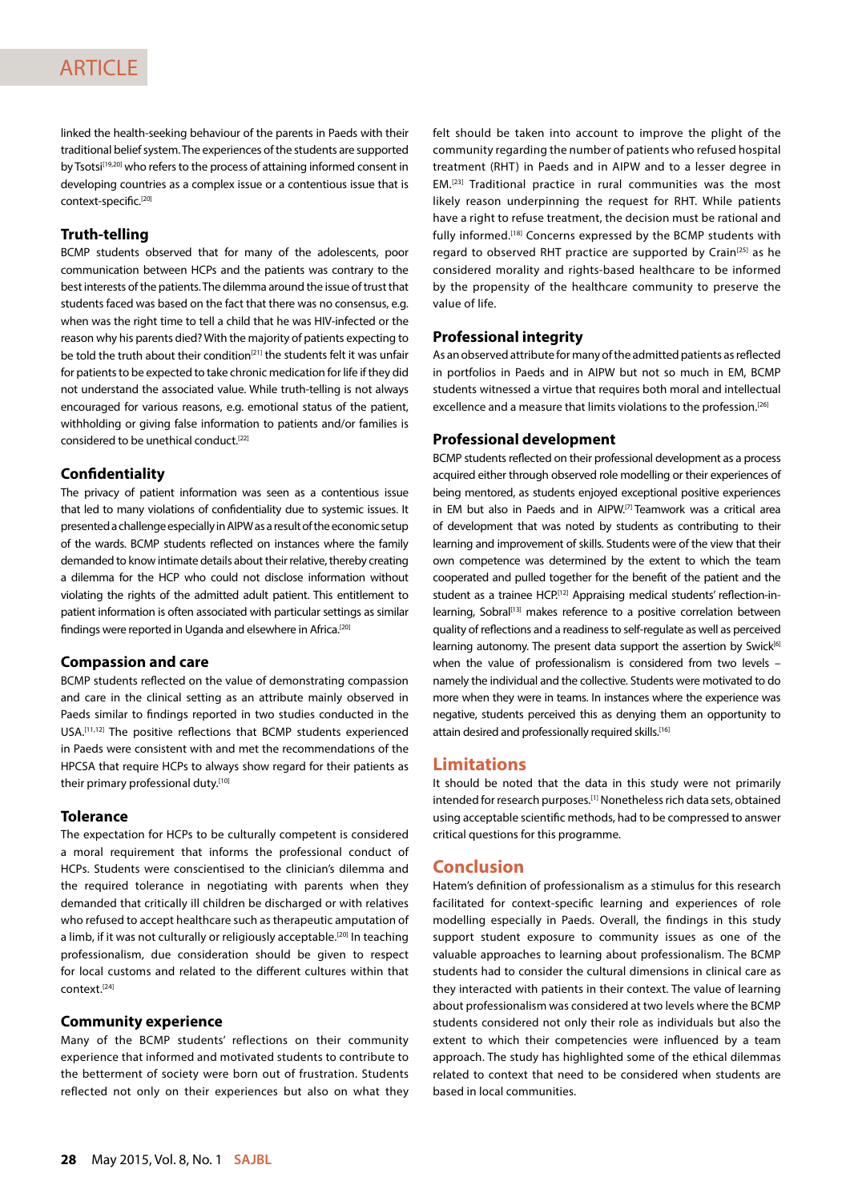linked the health-seeking behaviour of the parents in Paeds with their traditional belief system. The experiences of the students are supported by Tsotsi<sup>[19,20]</sup> who refers to the process of attaining informed consent in developing countries as a complex issue or a contentious issue that is context-specific.[20]

## **Truth-telling**

BCMP students observed that for many of the adolescents, poor communication between HCPs and the patients was contrary to the best interests of the patients. The dilemma around the issue of trust that students faced was based on the fact that there was no consensus, e.g. when was the right time to tell a child that he was HIV-infected or the reason why his parents died? With the majority of patients expecting to be told the truth about their condition<sup>[21]</sup> the students felt it was unfair for patients to be expected to take chronic medication for life if they did not understand the associated value. While truth-telling is not always encouraged for various reasons, e.g. emotional status of the patient, withholding or giving false information to patients and/or families is considered to be unethical conduct.[22]

### **Confidentiality**

The privacy of patient information was seen as a contentious issue that led to many violations of confidentiality due to systemic issues. It presented a challenge especially in AIPW as a result of the economic setup of the wards. BCMP students reflected on instances where the family demanded to know intimate details about their relative, thereby creating a dilemma for the HCP who could not disclose information without violating the rights of the admitted adult patient. This entitlement to patient information is often associated with particular settings as similar findings were reported in Uganda and elsewhere in Africa.<sup>[20]</sup>

#### **Compassion and care**

BCMP students reflected on the value of demonstrating compassion and care in the clinical setting as an attribute mainly observed in Paeds similar to findings reported in two studies conducted in the USA.[11,12] The positive reflections that BCMP students experienced in Paeds were consistent with and met the recommendations of the HPCSA that require HCPs to always show regard for their patients as their primary professional duty.[10]

#### **Tolerance**

The expectation for HCPs to be culturally competent is considered a moral requirement that informs the professional conduct of HCPs. Students were conscientised to the clinician's dilemma and the required tolerance in negotiating with parents when they demanded that critically ill children be discharged or with relatives who refused to accept healthcare such as therapeutic amputation of a limb, if it was not culturally or religiously acceptable.<sup>[20]</sup> In teaching professionalism, due consideration should be given to respect for local customs and related to the different cultures within that context.[24]

## **Community experience**

Many of the BCMP students' reflections on their community experience that informed and motivated students to contribute to the betterment of society were born out of frustration. Students reflected not only on their experiences but also on what they

felt should be taken into account to improve the plight of the community regarding the number of patients who refused hospital treatment (RHT) in Paeds and in AIPW and to a lesser degree in EM.[23] Traditional practice in rural communities was the most likely reason underpinning the request for RHT. While patients have a right to refuse treatment, the decision must be rational and fully informed.[18] Concerns expressed by the BCMP students with regard to observed RHT practice are supported by Crain<sup>[25]</sup> as he considered morality and rights-based healthcare to be informed by the propensity of the healthcare community to preserve the value of life.

## **Professional integrity**

As an observed attribute for many of the admitted patients as reflected in portfolios in Paeds and in AIPW but not so much in EM, BCMP students witnessed a virtue that requires both moral and intellectual excellence and a measure that limits violations to the profession.[26]

#### **Professional development**

BCMP students reflected on their professional development as a process acquired either through observed role modelling or their experiences of being mentored, as students enjoyed exceptional positive experiences in EM but also in Paeds and in AIPW.[7] Teamwork was a critical area of development that was noted by students as contributing to their learning and improvement of skills. Students were of the view that their own competence was determined by the extent to which the team cooperated and pulled together for the benefit of the patient and the student as a trainee HCP.<sup>[12]</sup> Appraising medical students' reflection-inlearning, Sobral<sup>[13]</sup> makes reference to a positive correlation between quality of reflections and a readiness to self-regulate as well as perceived learning autonomy. The present data support the assertion by Swick<sup>[6]</sup> when the value of professionalism is considered from two levels – namely the individual and the collective. Students were motivated to do more when they were in teams. In instances where the experience was negative, students perceived this as denying them an opportunity to attain desired and professionally required skills.[16]

## **Limitations**

It should be noted that the data in this study were not primarily intended for research purposes.[1] Nonetheless rich data sets, obtained using acceptable scientific methods, had to be compressed to answer critical questions for this programme.

## **Conclusion**

Hatem's definition of professionalism as a stimulus for this research facilitated for context-specific learning and experiences of role modelling especially in Paeds. Overall, the findings in this study support student exposure to community issues as one of the valuable approaches to learning about professionalism. The BCMP students had to consider the cultural dimensions in clinical care as they interacted with patients in their context. The value of learning about professionalism was considered at two levels where the BCMP students considered not only their role as individuals but also the extent to which their competencies were influenced by a team approach. The study has highlighted some of the ethical dilemmas related to context that need to be considered when students are based in local communities.